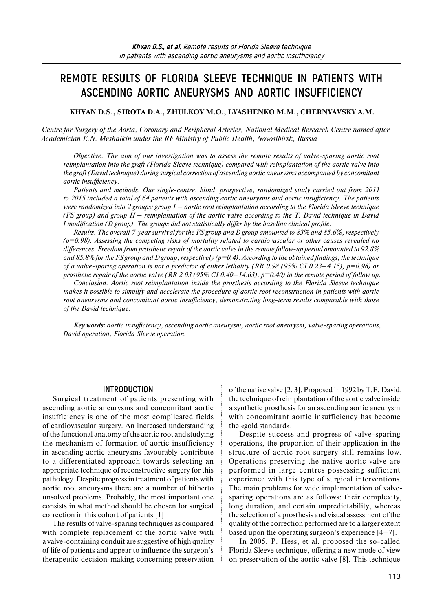# **REMOTE RESULTS OF FLORIDA SLEEVE TECHNIQUE IN PATIENTS WITH ASCENDING AORTIC ANEURYSMS AND AORTIC INSUFFICIENCY**

**KHVAN D.S., SIROTA D.A., ZHULKOV M.O., LYASHENKO M.M., CHERNYAVSKY A.M.** 

*Centre for Surgery of the Aorta, Coronary and Peripheral Arteries, National Medical Research Centre named after Academician E.N. Meshalkin under the RF Ministry of Public Health, Novosibirsk, Russia* 

*Objective. The aim of our investigation was to assess the remote results of valve-sparing aortic root reimplantation into the graft (Florida Sleeve technique) compared with reimplantation of the aortic valve into the graft (David technique) during surgical correction of ascending aortic aneurysms accompanied by concomitant aortic insufficiency.* 

*Patients and methods. Our single-centre, blind, prospective, randomized study carried out from 2011 to 2015 included a total of 64 patients with ascending aortic aneurysms and aortic insufficiency. The patients were randomized into 2 groups: group I – aortic root reimplantation according to the Florida Sleeve technique (FS group) and group II – reimplantation of the aortic valve according to the T. David technique in David I modification (D group). The groups did not statistically differ by the baseline clinical profile.* 

*Results. The overall 7-year survival for the FS group and D group amounted to 83% and 85.6%, respectively (p=0.98). Assessing the competing risks of mortality related to cardiovascular or other causes revealed no differences. Freedom from prosthetic repair of the aortic valve in the remote follow-up period amounted to 92.8% and 85.8% for the FS group and D group, respectively (p=0.4). According to the obtained findings, the technique of a valve-sparing operation is not a predictor of either lethality (RR 0.98 (95% CI 0.23–4.15), p=0.98) or prosthetic repair of the aortic valve (RR 2.03 (95% CI 0.40–14.63), p=0.40) in the remote period of follow up.* 

*Conclusion. Aortic root reimplantation inside the prosthesis according to the Florida Sleeve technique makes it possible to simplify and accelerate the procedure of aortic root reconstruction in patients with aortic root aneurysms and concomitant aortic insufficiency, demonstrating long-term results comparable with those of the David technique.* 

*Key words: aortic insufficiency, ascending aortic aneurysm, aortic root aneurysm, valve-sparing operations, David operation, Florida Sleeve operation.*

## **INTRODUCTION**

Surgical treatment of patients presenting with ascending aortic aneurysms and concomitant aortic insufficiency is one of the most complicated fields of cardiovascular surgery. An increased understanding of the functional anatomy of the aortic root and studying the mechanism of formation of aortic insufficiency in ascending aortic aneurysms favourably contribute to a differentiated approach towards selecting an appropriate technique of reconstructive surgery for this pathology. Despite progress in treatment of patients with aortic root aneurysms there are a number of hitherto unsolved problems. Probably, the most important one consists in what method should be chosen for surgical correction in this cohort of patients [1].

The results of valve-sparing techniques as compared with complete replacement of the aortic valve with a valve-containing conduit are suggestive of high quality of life of patients and appear to influence the surgeon's therapeutic decision-making concerning preservation

of the native valve [2, 3]. Proposed in 1992 by T.E. David, the technique of reimplantation of the aortic valve inside a synthetic prosthesis for an ascending aortic aneurysm with concomitant aortic insufficiency has become the «gold standard».

Despite success and progress of valve-sparing operations, the proportion of their application in the structure of aortic root surgery still remains low. Operations preserving the native aortic valve are performed in large centres possessing sufficient experience with this type of surgical interventions. The main problems for wide implementation of valvesparing operations are as follows: their complexity, long duration, and certain unpredictability, whereas the selection of a prosthesis and visual assessment of the quality of the correction performed are to a larger extent based upon the operating surgeon's experience [4–7].

In 2005, P. Hess, et al. proposed the so-called Florida Sleeve technique, offering a new mode of view on preservation of the aortic valve [8]. This technique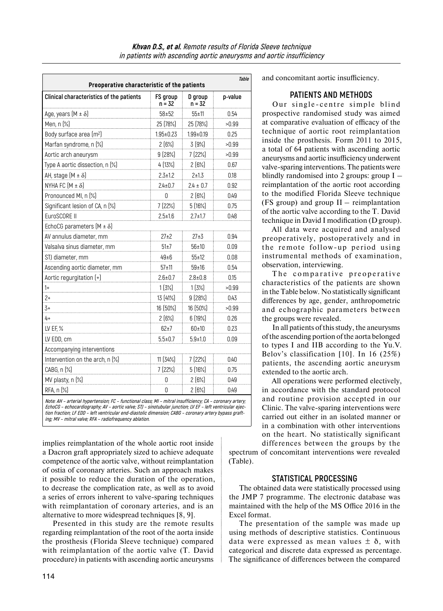| Preoperative characteristic of the patients                                                               |                    |                   | <b>Table</b> |
|-----------------------------------------------------------------------------------------------------------|--------------------|-------------------|--------------|
| Clinical characteristics of the patients                                                                  | FS group<br>n = 32 | D group<br>n = 32 | p-value      |
| Age, years $[M \pm \delta]$                                                                               | $58 + 52$          | 55±11             | 0.54         |
| Men, n (%)                                                                                                | 25 (78%)           | 25 (78%)          | >0.99        |
| Body surface area (m <sup>2</sup> )                                                                       | $1.95 \pm 0.23$    | $1.99 \pm 0.19$   | 0.25         |
| Marfan syndrome, n [%]                                                                                    | 2(6%)              | 3(9%)             | >0.99        |
| Aortic arch aneurysm                                                                                      | 9(28%)             | 7 (22%)           | >0.99        |
| Type A aortic dissection, n (%)                                                                           | 4 (13%)            | 2(6%)             | 0.67         |
| AH, stage $[M \pm \delta]$                                                                                | $2.3 \pm 1.2$      | $2 + 1.3$         | 0.18         |
| NYHA FC $[M \pm \delta]$                                                                                  | $2.4 \pm 0.7$      | $2.4 \pm 0.7$     | 0.92         |
| Pronounced MI, n [%]                                                                                      | 0                  | 2(6%)             | 0.49         |
| Significant lesion of CA, n (%)                                                                           | 7 (22%)            | 5(16%)            | 0.75         |
| EuroSCORE II                                                                                              | $2.5 \pm 1.6$      | $2.7 \pm 1.7$     | 0.48         |
| EchoCG parameters $(M \pm \delta)$                                                                        |                    |                   |              |
| AV annulus diameter, mm                                                                                   | $27+2$             | $27+3$            | 0.94         |
| Valsalva sinus diameter, mm                                                                               | 51±7               | 56±10             | 0.09         |
| STJ diameter, mm                                                                                          | 49±6               | 55±12             | 0.08         |
| Ascending aortic diameter, mm                                                                             | 57±11              | 59±16             | 0.54         |
| Aortic regurgitation (+)                                                                                  | $2.6 \pm 0.7$      | $2.8 \pm 0.8$     | 0.15         |
| $1+$                                                                                                      | 1(3%)              | 1(3%)             | >0.99        |
| 2+                                                                                                        | 13 (41%)           | 9(28%)            | 0.43         |
| 3+                                                                                                        | 16 (50%)           | 16 (50%)          | >0.99        |
| 4+                                                                                                        | 2(6%)              | 6(19%)            | 0.26         |
| LV EF, %                                                                                                  | $62\pm7$           | 60±10             | 0.23         |
| LV EDD, cm                                                                                                | $5.5 \pm 0.7$      | $5.9 + 1.0$       | 0.09         |
| Accompanying interventions                                                                                |                    |                   |              |
| Intervention on the arch, n [%]                                                                           | 11 (34%)           | 7 (22%)           | 0.40         |
| CABG, n (%)                                                                                               | 7 (22%)            | 5(16%)            | 0.75         |
| MV plasty, n (%)                                                                                          | 0                  | 2(6%)             | 0.49         |
| RFA, n (%)                                                                                                | Ŋ                  | 2(6%)             | 0.49         |
| Note: AH - arterial hypertension; FC - functional class; MI - mitral insufficiency; CA - coronary artery; |                    |                   |              |

**EchoCG – echocardiography; AV – aortic valve; STJ – sinotubular junction; LV EF – left ventricular ejection fraction; LF EDD – left ventricular end-diastolic dimension; CABG – coronary artery bypass grafting; MV – mitral valve; RFA – radiofrequency ablation.**

implies reimplantation of the whole aortic root inside a Dacron graft appropriately sized to achieve adequate competence of the aortic valve, without reimplantation of ostia of coronary arteries. Such an approach makes it possible to reduce the duration of the operation, to decrease the complication rate, as well as to avoid a series of errors inherent to valve-sparing techniques with reimplantation of coronary arteries, and is an alternative to more widespread techniques [8, 9].

Presented in this study are the remote results regarding reimplantation of the root of the aorta inside the prosthesis (Florida Sleeve technique) compared with reimplantation of the aortic valve (T. David procedure) in patients with ascending aortic aneurysms

and concomitant aortic insufficiency.

## **PATIENTS AND METHODS**

Our single-centre simple blind prospective randomised study was aimed at comparative evaluation of efficacy of the technique of aortic root reimplantation inside the prosthesis. Form 2011 to 2015, a total of 64 patients with ascending aortic aneurysms and aortic insufficiency underwent valve-sparing interventions. The patients were blindly randomised into 2 groups: group I – reimplantation of the aortic root according to the modified Florida Sleeve technique (FS group) and group  $II$  – reimplantation of the aortic valve according to the T. David technique in David I modification (D group).

All data were acquired and analysed preoperatively, postoperatively and in the remote follow-up period using instrumental methods of examination, observation, interviewing.

The comparative preoperative characteristics of the patients are shown in the Table below. No statistically significant differences by age, gender, anthropometric and echographic parameters between the groups were revealed.

In all patients of this study, the aneurysms of the ascending portion of the aorta belonged to types I and IIB according to the Yu.V. Belov's classification [10]. In 16 (25%) patients, the ascending aortic aneurysm extended to the aortic arch.

All operations were performed electively, in accordance with the standard protocol and routine provision accepted in our Clinic. The valve-sparing interventions were carried out either in an isolated manner or in a combination with other interventions on the heart. No statistically significant differences between the groups by the

spectrum of concomitant interventions were revealed (Table).

## **STATISTICAL PROCESSING**

The obtained data were statistically processed using the JMP 7 programme. The electronic database was maintained with the help of the MS Office 2016 in the Excel format.

The presentation of the sample was made up using methods of descriptive statistics. Continuous data were expressed as mean values  $\pm$   $\delta$ , with categorical and discrete data expressed as percentage. The significance of differences between the compared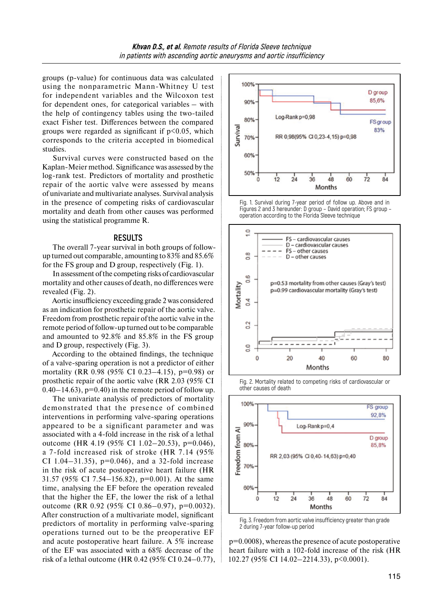groups (p-value) for continuous data was calculated using the nonparametric Mann-Whitney U test for independent variables and the Wilcoxon test for dependent ones, for categorical variables – with the help of contingency tables using the two-tailed exact Fisher test. Differences between the compared groups were regarded as significant if  $p<0.05$ , which corresponds to the criteria accepted in biomedical studies.

Survival curves were constructed based on the Kaplan-Meier method. Significance was assessed by the log-rank test. Predictors of mortality and prosthetic repair of the aortic valve were assessed by means of univariate and multivariate analyses. Survival analysis in the presence of competing risks of cardiovascular mortality and death from other causes was performed using the statistical programme R.

#### **RESULTS**

The overall 7-year survival in both groups of followup turned out comparable, amounting to 83% and 85.6% for the FS group and D group, respectively (Fig. 1).

In assessment of the competing risks of cardiovascular mortality and other causes of death, no differences were revealed (Fig. 2).

Aortic insufficiency exceeding grade 2 was considered as an indication for prosthetic repair of the aortic valve. Freedom from prosthetic repair of the aortic valve in the remote period of follow-up turned out to be comparable and amounted to 92.8% and 85.8% in the FS group and D group, respectively (Fig. 3).

According to the obtained findings, the technique of a valve-sparing operation is not a predictor of either mortality (RR 0.98 (95% CI 0.23–4.15), p=0.98) or prosthetic repair of the aortic valve (RR 2.03 (95% CI  $(0.40-14.63)$ ,  $p=0.40$ ) in the remote period of follow up.

The univariate analysis of predictors of mortality demonstrated that the presence of combined interventions in performing valve-sparing operations appeared to be a significant parameter and was associated with a 4-fold increase in the risk of a lethal outcome (HR 4.19 (95% CI 1.02–20.53), p=0.046), a 7-fold increased risk of stroke (HR 7.14 (95% CI 1.04–31.35),  $p=0.046$ , and a 32-fold increase in the risk of acute postoperative heart failure (HR 31.57 (95% CI 7.54–156.82), p=0.001). At the same time, analysing the EF before the operation revealed that the higher the EF, the lower the risk of a lethal outcome (RR 0.92 (95% CI 0.86–0.97), p=0.0032). After construction of a multivariate model, significant predictors of mortality in performing valve-sparing operations turned out to be the preoperative EF and acute postoperative heart failure. A 5% increase of the EF was associated with a 68% decrease of the risk of a lethal outcome (HR 0.42 (95% CI 0.24–0.77),



Fig. 1. Survival during 7-year period of follow up. Above and in Figures 2 and 3 hereunder: D group – David operation; FS group – operation according to the Florida Sleeve technique







Fig. 3. Freedom from aortic valve insufficiency greater than grade 2 during 7-year follow-up period

p=0.0008), whereas the presence of acute postoperative heart failure with a 102-fold increase of the risk (HR 102.27 (95% CI 14.02–2214.33), p<0.0001).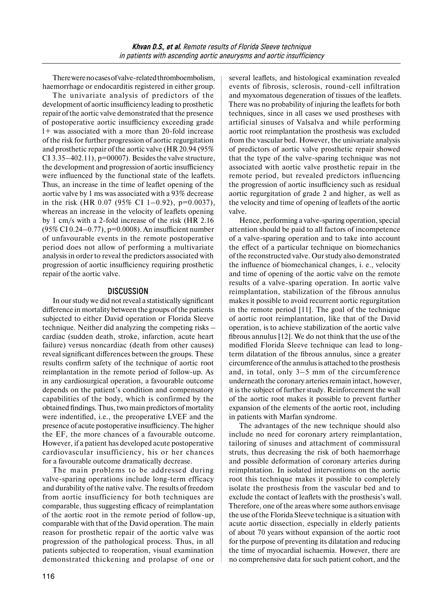There were no cases ofvalve-related thromboembolism, haemorrhage or endocarditis registered in either group.

The univariate analysis of predictors of the development of aortic insufficiency leading to prosthetic repair of the aortic valve demonstrated that the presence of postoperative aortic insufficiency exceeding grade 1+ was associated with a more than 20-fold increase of the risk for further progression of aortic regurgitation and prosthetic repair of the aortic valve (HR 20.94 (95% CI 3.35–402.11),  $p=00007$ . Besides the valve structure, the development and progression of aortic insufficiency were influenced by the functional state of the leaflets. Thus, an increase in the time of leaflet opening of the aortic valve by 1 ms was associated with a 93% decrease in the risk (HR 0.07 (95% CI 1–0.92),  $p=0.0037$ ), whereas an increase in the velocity of leaflets opening by 1 cm/s with a 2-fold increase of the risk (HR 2.16 (95% CI 0.24–0.77), p=0.0008). An insufficient number of unfavourable events in the remote postoperative period does not allow of performing a multivariate analysis in order to reveal the predictors associated with progression of aortic insufficiency requiring prosthetic repair of the aortic valve.

## **DISCUSSION**

In our study we did not reveal a statistically significant difference in mortality between the groups of the patients subjected to either David operation or Florida Sleeve technique. Neither did analyzing the competing risks – cardiac (sudden death, stroke, infarction, acute heart failure) versus noncardiac (death from other causes) reveal significant differences between the groups. These results confirm safety of the technique of aortic root reimplantation in the remote period of follow-up. As in any cardiosurgical operation, a favourable outcome depends on the patient's condition and compensatory capabilities of the body, which is confirmed by the obtained findings. Thus, two main predictors of mortality were indentified, i.e., the preoperative LVEF and the presence of acute postoperative insufficiency. The higher the EF, the more chances of a favourable outcome. However, if a patient has developed acute postoperative cardiovascular insufficiency, his or her chances for a favourable outcome dramatically decrease.

The main problems to be addressed during valve-sparing operations include long-term efficacy and durability of the native valve. The results of freedom from aortic insufficiency for both techniques are comparable, thus suggesting efficacy of reimplantation of the aortic root in the remote period of follow-up, comparable with that of the David operation. The main reason for prosthetic repair of the aortic valve was progression of the pathological process. Thus, in all patients subjected to reoperation, visual examination demonstrated thickening and prolapse of one or

several leaflets, and histological examination revealed events of fibrosis, sclerosis, round-cell infiltration and myxomatous degeneration of tissues of the leaflets. There was no probability of injuring the leaflets for both techniques, since in all cases we used prostheses with artificial sinuses of Valsalva and while performing aortic root reimplantation the prosthesis was excluded from the vascular bed. However, the univariate analysis of predictors of aortic valve prosthetic repair showed that the type of the valve-sparing technique was not associated with aortic valve prosthetic repair in the remote period, but revealed predictors influencing the progression of aortic insufficiency such as residual aortic regurgitation of grade 2 and higher, as well as the velocity and time of opening of leaflets of the aortic valve.

Hence, performing a valve-sparing operation, special attention should be paid to all factors of incompetence of a valve-sparing operation and to take into account the effect of a particular technique on biomechanics of the reconstructed valve. Our study also demonstrated the influence of biomechanical changes, i. e., velocity and time of opening of the aortic valve on the remote results of a valve-sparing operation. In aortic valve reimplantation, stabilization of the fibrous annulus makes it possible to avoid recurrent aortic regurgitation in the remote period [11]. The goal of the technique of aortic root reimplantation, like that of the David operation, is to achieve stabilization of the aortic valve fibrous annulus [12]. We do not think that the use of the modified Florida Sleeve technique can lead to longterm dilatation of the fibrous annulus, since a greater circumference of the annulus is attached to the prosthesis and, in total, only 3–5 mm of the circumference underneath the coronary arteries remain intact, however, it is the subject of further study. Reinforcement the wall of the aortic root makes it possible to prevent further expansion of the elements of the aortic root, including in patients with Marfan syndrome.

The advantages of the new technique should also include no need for coronary artery reimplantation, tailoring of sinuses and attachment of commissural struts, thus decreasing the risk of both haemorrhage and possible deformation of coronary arteries during reimplntation. In isolated interventions on the aortic root this technique makes it possible to completely isolate the prosthesis from the vascular bed and to exclude the contact of leaflets with the prosthesis's wall. Therefore, one of the areas where some authors envisage the use of the Florida Sleeve technique is a situation with acute aortic dissection, especially in elderly patients of about 70 years without expansion of the aortic root for the purpose of preventing its dilatation and reducing the time of myocardial ischaemia. However, there are no comprehensive data for such patient cohort, and the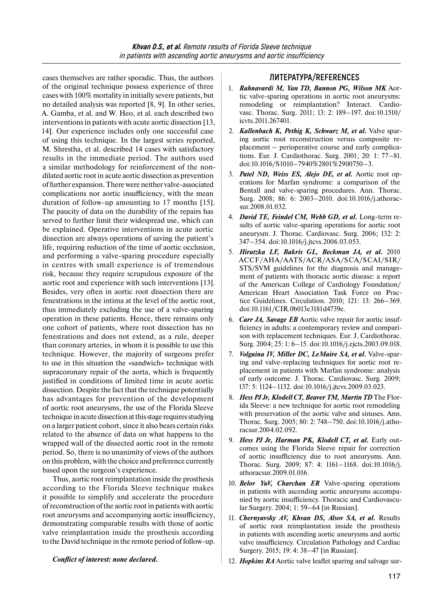cases themselves are rather sporadic. Thus, the authors of the original technique possess experience of three cases with 100% mortality in initially severe patients, but no detailed analysis was reported [8, 9]. In other series, A. Gamba, et al. and W. Heo, et al. each described two interventions in patients with acute aortic dissection [13, 14]. Our experience includes only one successful case of using this technique. In the largest series reported, M. Shrestha, et al. described 14 cases with satisfactory results in the immediate period. The authors used a similar methodology for reinforcement of the nondilated aortic root in acute aortic dissection as prevention of further expansion. There were neither valve-associated complications nor aortic insufficiency, with the mean duration of follow-up amounting to 17 months [15]. The paucity of data on the durability of the repairs has served to further limit their widespread use, which can be explained. Operative interventions in acute aortic dissection are always operations of saving the patient's life, requiring reduction of the time of aortic occlusion, and performing a valve-sparing procedure especially in centres with small experience is of tremendous risk, because they require scrupulous exposure of the aortic root and experience with such interventions [13]. Besides, very often in aortic root dissection there are fenestrations in the intima at the level of the aortic root, thus immediately excluding the use of a valve-sparing operation in these patients. Hence, there remains only one cohort of patients, where root dissection has no fenestrations and does not extend, as a rule, deeper than coronary arteries, in whom it is possible to use this technique. However, the majority of surgeons prefer to use in this situation the «sandwich» technique with supracoronary repair of the aorta, which is frequently justified in conditions of limited time in acute aortic dissection. Despite the fact that the technique potentially has advantages for prevention of the development of aortic root aneurysms, the use of the Florida Sleeve technique inacute dissection atthis stage requires studying on a larger patient cohort, since it also bears certain risks related to the absence of data on what happens to the wrapped wall of the dissected aortic root in the remote period. So, there is no unanimity of views of the authors on this problem, with the choice and preference currently based upon the surgeon's experience.

Thus, aortic root reimplantation inside the prosthesis according to the Florida Sleeve technique makes it possible to simplify and accelerate the procedure ofreconstruction of the aortic root in patients with aortic root aneurysms and accompanying aortic insufficiency, demonstrating comparable results with those of aortic valve reimplantation inside the prosthesis according to the David technique in the remote period of follow-up.

#### *Conflict of interest: none declared.*

### **ЛИТЕРАТУРА/REFERENCES**

- 1. *Rahnavardi M, Yan TD, Bannon PG, Wilson MK* Aortic valve-sparing operations in aortic root aneurysms: remodeling or reimplantation? Interact. Cardiovasc. Thorac. Surg. 2011; 13: 2: 189–197. doi:10.1510/ icvts.2011.267401.
- 2. *Kallenbach K, Pethig K, Schwarz M, et al.* Valve sparing aortic root reconstruction versus composite replacement – perioperative course and early complications. Eur. J. Cardiothorac. Surg. 2001; 20: 1: 77–81. doi:10.1016/S1010–7940%2801%2900750–3.
- 3. *Patel ND, Weiss ES, Alejo DE, et al.* Aortic root operations for Marfan syndrome: a comparison of the Bentall and valve-sparing procedures. Ann. Thorac. Surg. 2008; 86: 6: 2003–2010. doi:10.1016/j.athoracsur.2008.01.032.
- 4. *David TE, Feindel CM, Webb GD, et al.* Long-term results of aortic valve-sparing operations for aortic root aneurysm. J. Thorac. Cardiovasc. Surg. 2006; 132: 2: 347–354. doi:10.1016/j.jtcvs.2006.03.053.
- 5. *Hiratzka LF, Bakris GL, Beckman JA, et al.* 2010 ACCF/AHA/AATS/ACR/ASA/SCA/SCAI/SIR/ STS/SVM guidelines for the diagnosis and management of patients with thoracic aortic disease: a report of the American College of Cardiology Foundation/ American Heart Association Task Force on Practice Guidelines. Circulation. 2010; 121: 13: 266–369. doi:10.1161/CIR.0b013e3181d4739e.
- 6. *Carr JA, Savage EB* Aortic valve repair for aortic insufficiency in adults: a contemporary review and comparison with replacement techniques. Eur. J. Cardiothorac. Surg. 2004; 25: 1: 6–15. doi:10.1016/j.ejcts.2003.09.018.
- 7. *Volguina IV, Miller DC, LeMaire SA, et al.* Valve-sparing and valve-replacing techniques for aortic root replacement in patients with Marfan syndrome: analysis of early outcome. J. Thorac. Cardiovasc. Surg. 2009; 137: 5: 1124–1132. doi:10.1016/j.jtcvs.2009.03.023.
- 8. *Hess PJ Jr, Klodell CT, Beaver TM, Martin TD* The Florida Sleeve: a new technique for aortic root remodeling with preservation of the aortic valve and sinuses. Ann. Thorac. Surg. 2005; 80: 2: 748–750. doi:10.1016/j.athoracsur.2004.02.092.
- 9. Hess PJ Jr, Harman PK, Klodell CT, et al. Early outcomes using the Florida Sleeve repair for correction of aortic insufficiency due to root aneurysms. Ann. Thorac. Surg. 2009; 87: 4: 1161–1168. doi:10.1016/j. athoracsur.2009.01.016.
- 10. *Belov YuV, Charchan ER* Valve-sparing operations in patients with ascending aortic aneurysms accompanied by aortic insufficiency. Thoracic and Cardiovascular Surgery. 2004; 1: 59–64 [in Russian].
- 11. *Chernyavsky AV, Khvan DS, Alsov SA, et al.* Results of aortic root reimplantation inside the prosthesis in patients with ascending aortic aneurysms and aortic valve insufficiency. Circulation Pathology and Cardiac Surgery. 2015; 19: 4: 38–47 [in Russian].
- 12. *Hopkins RA* Aortic valve leaflet sparing and salvage sur-